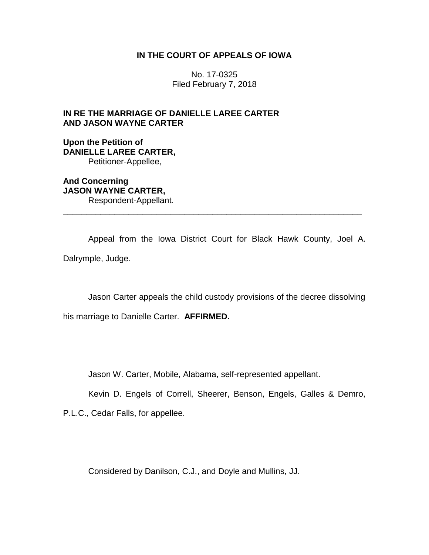## **IN THE COURT OF APPEALS OF IOWA**

No. 17-0325 Filed February 7, 2018

## **IN RE THE MARRIAGE OF DANIELLE LAREE CARTER AND JASON WAYNE CARTER**

**Upon the Petition of DANIELLE LAREE CARTER,** Petitioner-Appellee,

**And Concerning JASON WAYNE CARTER,** Respondent-Appellant.

Appeal from the Iowa District Court for Black Hawk County, Joel A. Dalrymple, Judge.

\_\_\_\_\_\_\_\_\_\_\_\_\_\_\_\_\_\_\_\_\_\_\_\_\_\_\_\_\_\_\_\_\_\_\_\_\_\_\_\_\_\_\_\_\_\_\_\_\_\_\_\_\_\_\_\_\_\_\_\_\_\_\_\_

Jason Carter appeals the child custody provisions of the decree dissolving

his marriage to Danielle Carter. **AFFIRMED.**

Jason W. Carter, Mobile, Alabama, self-represented appellant.

Kevin D. Engels of Correll, Sheerer, Benson, Engels, Galles & Demro,

P.L.C., Cedar Falls, for appellee.

Considered by Danilson, C.J., and Doyle and Mullins, JJ.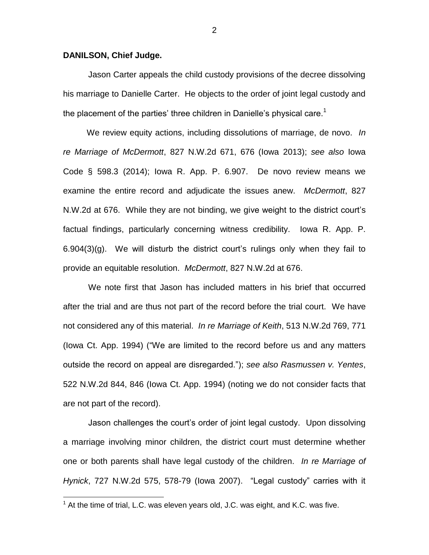## **DANILSON, Chief Judge.**

 $\overline{a}$ 

Jason Carter appeals the child custody provisions of the decree dissolving his marriage to Danielle Carter. He objects to the order of joint legal custody and the placement of the parties' three children in Danielle's physical care.<sup>1</sup>

We review equity actions, including dissolutions of marriage, de novo. *In re Marriage of McDermott*, 827 N.W.2d 671, 676 (Iowa 2013); *see also* Iowa Code § 598.3 (2014); Iowa R. App. P. 6.907. De novo review means we examine the entire record and adjudicate the issues anew. *McDermott*, 827 N.W.2d at 676. While they are not binding, we give weight to the district court's factual findings, particularly concerning witness credibility. Iowa R. App. P. 6.904(3)(g). We will disturb the district court's rulings only when they fail to provide an equitable resolution. *McDermott*, 827 N.W.2d at 676.

We note first that Jason has included matters in his brief that occurred after the trial and are thus not part of the record before the trial court. We have not considered any of this material. *In re Marriage of Keith*, 513 N.W.2d 769, 771 (Iowa Ct. App. 1994) ("We are limited to the record before us and any matters outside the record on appeal are disregarded."); *see also Rasmussen v. Yentes*, 522 N.W.2d 844, 846 (Iowa Ct. App. 1994) (noting we do not consider facts that are not part of the record).

Jason challenges the court's order of joint legal custody. Upon dissolving a marriage involving minor children, the district court must determine whether one or both parents shall have legal custody of the children. *In re Marriage of Hynick*, 727 N.W.2d 575, 578-79 (Iowa 2007). "Legal custody" carries with it

2

 $1$  At the time of trial, L.C. was eleven years old, J.C. was eight, and K.C. was five.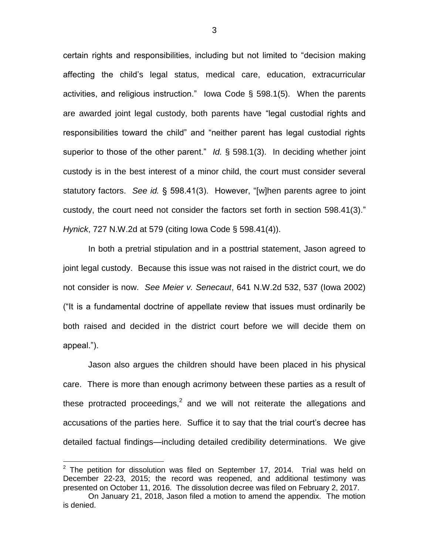certain rights and responsibilities, including but not limited to "decision making affecting the child's legal status, medical care, education, extracurricular activities, and religious instruction." Iowa Code § 598.1(5). When the parents are awarded joint legal custody, both parents have "legal custodial rights and responsibilities toward the child" and "neither parent has legal custodial rights superior to those of the other parent." *Id.* § 598.1(3). In deciding whether joint custody is in the best interest of a minor child, the court must consider several statutory factors. *See id.* § 598.41(3). However, "[w]hen parents agree to joint custody, the court need not consider the factors set forth in section 598.41(3)." *Hynick*, 727 N.W.2d at 579 (citing Iowa Code § 598.41(4)).

In both a pretrial stipulation and in a posttrial statement, Jason agreed to joint legal custody. Because this issue was not raised in the district court, we do not consider is now. *See Meier v. Senecaut*, 641 N.W.2d 532, 537 (Iowa 2002) ("It is a fundamental doctrine of appellate review that issues must ordinarily be both raised and decided in the district court before we will decide them on appeal.").

Jason also argues the children should have been placed in his physical care. There is more than enough acrimony between these parties as a result of these protracted proceedings,<sup>2</sup> and we will not reiterate the allegations and accusations of the parties here. Suffice it to say that the trial court's decree has detailed factual findings—including detailed credibility determinations. We give

 $\overline{a}$ 

 $2$  The petition for dissolution was filed on September 17, 2014. Trial was held on December 22-23, 2015; the record was reopened, and additional testimony was presented on October 11, 2016. The dissolution decree was filed on February 2, 2017.

On January 21, 2018, Jason filed a motion to amend the appendix. The motion is denied.